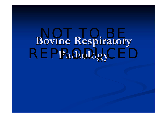## **Bovine Respiratory Bovine Respiratory Pathology Pathology** NOT TO BE A REPORTED THE SERVICE OF THE SERVICE OF THE SERVICE OF THE SERVICE OF THE SERVICE OF THE SERVICE OF<br>NOTE A REPORT OF THE SERVICE OF THE SERVICE OF THE SERVICE OF THE SERVICE OF THE SERVICE OF THE SERVICE OF THE **Pathology**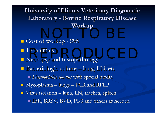**University of Illinois Veterinary Diagnostic University of Illinois Veterinary Diagnostic**   ${\rm \ Laboratory}$ **-- Bovine Respiratory Disease Workup** NOT TO BE A REPORTED THE REPORT OF THE REPORT OF THE REPORT OF THE REPORT OF THE REPORT OF THE REPORT OF THE R<br>NOTE A REPORT OF THE REPORT OF THE REPORT OF THE REPORT OF THE REPORT OF THE REPORT OF THE REPORT OF THE REPOR

 $\blacksquare$  Cost of workup \$95  $\Box$  1-4 animals  $\blacksquare$  Necropsy and histopathology Bacteriologic culture  $-$  lung, LN, etc *Haemophilus Haemophilus somnus* with special media with special media  $\blacksquare$  Mycoplasma — lungs ·  $-$  PCR and RFLP  $\blacksquare$  Virus isolation  $\blacksquare$ – lung, LN, trachea, spleen ■ IBR, BRSV, BVD, PI-3 and others as needed -4 animals<br>The contract of the contract of the contract of the contract of the contract of the contract of the contract o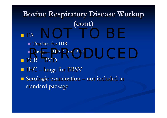## **Bovine Respiratory Disease Workup Bovine Respiratory Disease Workup (cont)**

 $\blacksquare$  FA **Trachea for IBR**  $\blacksquare$  Lungs  $\cdot$  $-$  BRSV and PI-3  $\,$ ■ PCR – BVD  $\blacksquare$  IHC  $-$  lungs for BRSV  $\blacksquare$  Serologic examination  $\cdot$  $-$  not included in standard package Lungs – BRSV and PI-3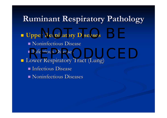## **Ruminant Respiratory Pathology Ruminant Respiratory Pathology**

**L** Upper Respiratory Diseases  $\blacksquare$  Noninfectious Disease Infectious Diseases **Lower Respiratory Tract (Lung) Infectious Disease**  $\blacksquare$  Noninfectious Diseases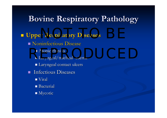## **Bovine Respiratory Pathology Bovine Respiratory Pathology**

**L** Upper Respiratory Diseases **Noninfectious Disease**  $\blacksquare$  Atopic rhinitis  $\blacksquare$  Laryngeal/tracheal edema  $\blacksquare$  Laryngeal contact ulcers  $\blacksquare$ Infectious Diseases ■ Viral  $\blacksquare$  Bacterial  $\blacksquare$  Mycotic Atopic rhinitis<br>Representative and the set of the set of the set of the set of the set of the set of the set of the set of the<br>Representative and the set of the set of the set of the set of the set of the set of the set of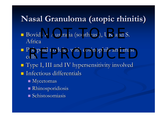## **Nasal Granuloma Granuloma (atopic rhinitis) rhinitis)**

- Bovids in Australia (southeast), UK and S. Africa
- **P**olypoid nodules with eosinophils and mast cells cells
- Type I, III and IV hypersensitivity involved Type I, III and IV hypersensitivity involved  $\blacksquare$  Infectious differentials
	- $\blacksquare$  Mycetomas
	- Rhinosporidiosis Rhinosporidiosis
	- $\blacksquare$  Schistosomiasis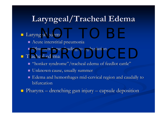## **Laryngeal/Tracheal Edema Laryngeal/Tracheal Edema**

# Laryngeal edema

- $\blacksquare$  Acute interstitial pneumonia
- ■ Obstructs lumen leading to asphyxiation<br>Tracheal edema

#### **Tracheal edema**

- "honker syndrome"/tracheal edema of feedlot cattle"
- п Unknown cause, usually summer
- $\mathbb{R}^2$  $\blacksquare$  Edema and hemorrhages mid-cervical region and caudally to bifurcation

ri<br>M  $\blacksquare$  Pharynx  $\cdot$ **Holland** Construction  $-$  drenching gun injury  $\cdot$ –– capsule deposition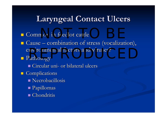# **Laryngeal Contact Ulcers Laryngeal Contact Ulcers**

- $\blacksquare$  Common in feedlot cattle non in feedlot cattle and the set of the set of the set of the set of the set of the set of the set of the set
- Cause – $-$  combination of stress (vocalization),  $\overline{\phantom{a}}$ environmental factors and viruses?<br>Pathology
- **Pathology** ■ Circular uni- or bilateral ulcers **Complications**  $\blacksquare$  Necrobacillosis Papillomas Papillomas
	- **Chondritis**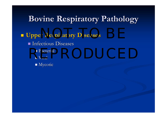## **Bovine Respiratory Pathology Bovine Respiratory Pathology**

**L** Upper Respiratory Diseases **Infectious Diseases**  $\blacksquare$  Bacterial ■ Viral  $\blacksquare$  Mycotic Expediate de la contrattura de la contrattura de la contrattura de la contrattura de la contrattura de la contra<br>Representa de la contrattura de la contrattura de la contrattura de la contrattura de la contrattura de la co